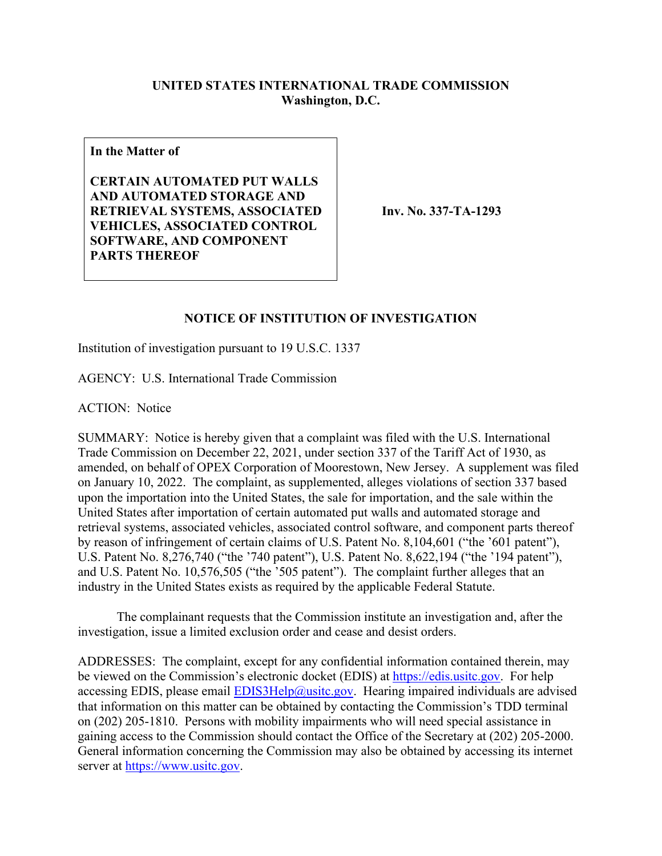## **UNITED STATES INTERNATIONAL TRADE COMMISSION Washington, D.C.**

**In the Matter of**

**CERTAIN AUTOMATED PUT WALLS AND AUTOMATED STORAGE AND RETRIEVAL SYSTEMS, ASSOCIATED VEHICLES, ASSOCIATED CONTROL SOFTWARE, AND COMPONENT PARTS THEREOF**

**Inv. No. 337-TA-1293**

## **NOTICE OF INSTITUTION OF INVESTIGATION**

Institution of investigation pursuant to 19 U.S.C. 1337

AGENCY: U.S. International Trade Commission

ACTION: Notice

SUMMARY: Notice is hereby given that a complaint was filed with the U.S. International Trade Commission on December 22, 2021, under section 337 of the Tariff Act of 1930, as amended, on behalf of OPEX Corporation of Moorestown, New Jersey. A supplement was filed on January 10, 2022. The complaint, as supplemented, alleges violations of section 337 based upon the importation into the United States, the sale for importation, and the sale within the United States after importation of certain automated put walls and automated storage and retrieval systems, associated vehicles, associated control software, and component parts thereof by reason of infringement of certain claims of U.S. Patent No. 8,104,601 ("the '601 patent"), U.S. Patent No. 8,276,740 ("the '740 patent"), U.S. Patent No. 8,622,194 ("the '194 patent"), and U.S. Patent No. 10,576,505 ("the '505 patent"). The complaint further alleges that an industry in the United States exists as required by the applicable Federal Statute.

The complainant requests that the Commission institute an investigation and, after the investigation, issue a limited exclusion order and cease and desist orders.

ADDRESSES: The complaint, except for any confidential information contained therein, may be viewed on the Commission's electronic docket (EDIS) at [https://edis.usitc.gov.](https://edis.usitc.gov/) For help accessing EDIS, please email  $EDIS3Help@usite.gov$ . Hearing impaired individuals are advised that information on this matter can be obtained by contacting the Commission's TDD terminal on (202) 205-1810. Persons with mobility impairments who will need special assistance in gaining access to the Commission should contact the Office of the Secretary at (202) 205-2000. General information concerning the Commission may also be obtained by accessing its internet server at [https://www.usitc.gov.](https://www.usitc.gov/)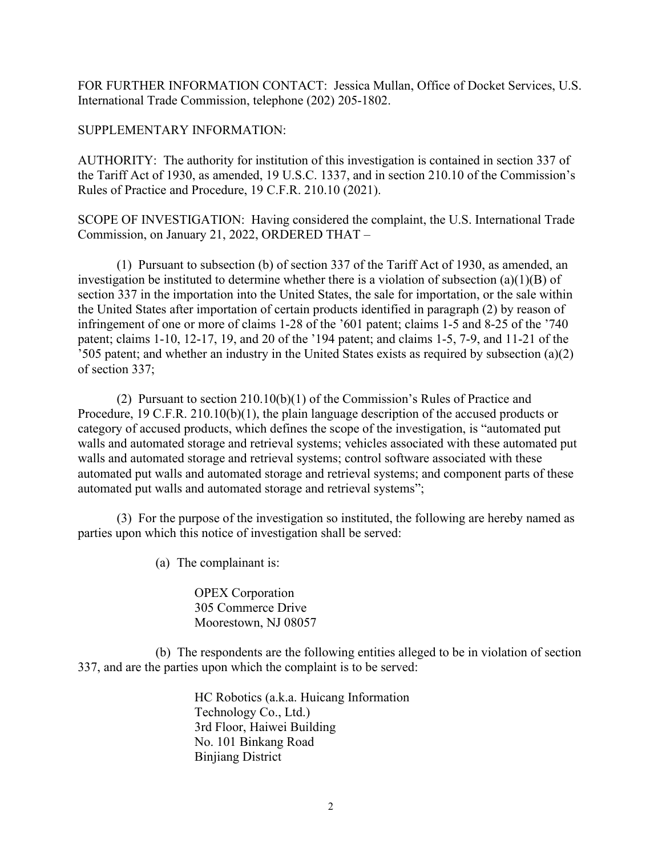FOR FURTHER INFORMATION CONTACT: Jessica Mullan, Office of Docket Services, U.S. International Trade Commission, telephone (202) 205-1802.

## SUPPLEMENTARY INFORMATION:

AUTHORITY: The authority for institution of this investigation is contained in section 337 of the Tariff Act of 1930, as amended, 19 U.S.C. 1337, and in section 210.10 of the Commission's Rules of Practice and Procedure, 19 C.F.R. 210.10 (2021).

SCOPE OF INVESTIGATION: Having considered the complaint, the U.S. International Trade Commission, on January 21, 2022, ORDERED THAT –

(1) Pursuant to subsection (b) of section 337 of the Tariff Act of 1930, as amended, an investigation be instituted to determine whether there is a violation of subsection (a)(1)(B) of section 337 in the importation into the United States, the sale for importation, or the sale within the United States after importation of certain products identified in paragraph (2) by reason of infringement of one or more of claims 1-28 of the '601 patent; claims 1-5 and 8-25 of the '740 patent; claims 1-10, 12-17, 19, and 20 of the '194 patent; and claims 1-5, 7-9, and 11-21 of the '505 patent; and whether an industry in the United States exists as required by subsection (a)(2) of section 337;

(2) Pursuant to section 210.10(b)(1) of the Commission's Rules of Practice and Procedure, 19 C.F.R. 210.10(b)(1), the plain language description of the accused products or category of accused products, which defines the scope of the investigation, is "automated put walls and automated storage and retrieval systems; vehicles associated with these automated put walls and automated storage and retrieval systems; control software associated with these automated put walls and automated storage and retrieval systems; and component parts of these automated put walls and automated storage and retrieval systems";

(3) For the purpose of the investigation so instituted, the following are hereby named as parties upon which this notice of investigation shall be served:

(a) The complainant is:

OPEX Corporation 305 Commerce Drive Moorestown, NJ 08057

(b) The respondents are the following entities alleged to be in violation of section 337, and are the parties upon which the complaint is to be served:

> HC Robotics (a.k.a. Huicang Information Technology Co., Ltd.) 3rd Floor, Haiwei Building No. 101 Binkang Road Binjiang District